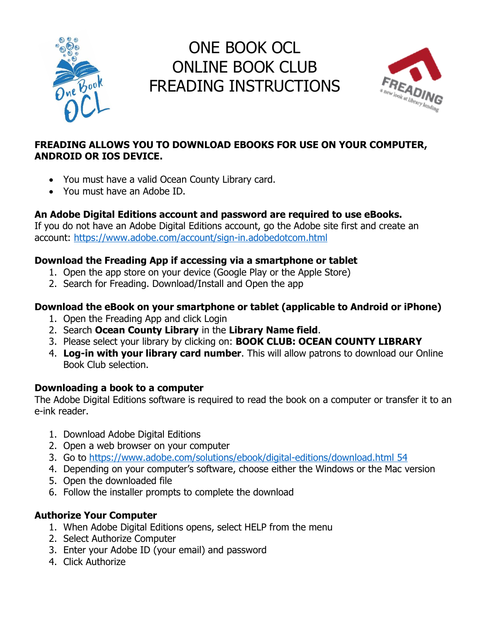

# ONE BOOK OCL ONLINE BOOK CLUB FREADING INSTRUCTIONS



## **FREADING ALLOWS YOU TO DOWNLOAD EBOOKS FOR USE ON YOUR COMPUTER, ANDROID OR IOS DEVICE.**

- You must have a valid Ocean County Library card.
- You must have an Adobe ID.

## **An Adobe Digital Editions account and password are required to use eBooks.**

If you do not have an Adobe Digital Editions account, go the Adobe site first and create an account:<https://www.adobe.com/account/sign-in.adobedotcom.html>

## **Download the Freading App if accessing via a smartphone or tablet**

- 1. Open the app store on your device (Google Play or the Apple Store)
- 2. Search for Freading. Download/Install and Open the app

## **Download the eBook on your smartphone or tablet (applicable to Android or iPhone)**

- 1. Open the Freading App and click Login
- 2. Search **Ocean County Library** in the **Library Name field**.
- 3. Please select your library by clicking on: **BOOK CLUB: OCEAN COUNTY LIBRARY**
- 4. **Log-in with your library card number**. This will allow patrons to download our Online Book Club selection.

## **Downloading a book to a computer**

The Adobe Digital Editions software is required to read the book on a computer or transfer it to an e-ink reader.

- 1. Download Adobe Digital Editions
- 2. Open a web browser on your computer
- 3. Go to [https://www.adobe.com/solutions/ebook/digital-editions/download.html 54](https://www.adobe.com/solutions/ebook/digital-editions/download.html%2054)
- 4. Depending on your computer's software, choose either the Windows or the Mac version
- 5. Open the downloaded file
- 6. Follow the installer prompts to complete the download

## **Authorize Your Computer**

- 1. When Adobe Digital Editions opens, select HELP from the menu
- 2. Select Authorize Computer
- 3. Enter your Adobe ID (your email) and password
- 4. Click Authorize